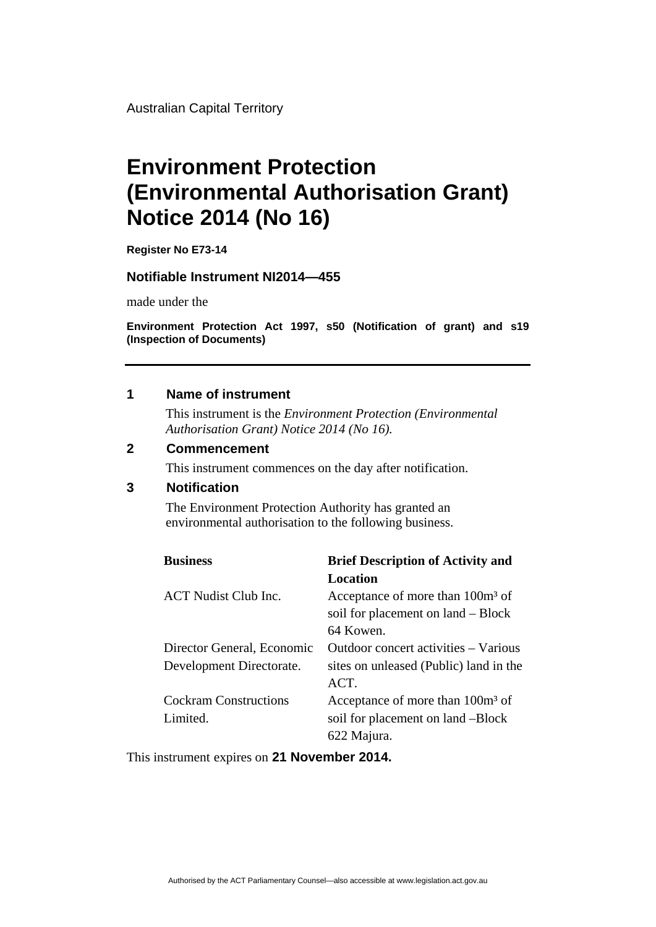Australian Capital Territory

# **Environment Protection (Environmental Authorisation Grant) Notice 2014 (No 16)**

**Register No E73-14** 

#### **Notifiable Instrument NI2014—455**

made under the

**Environment Protection Act 1997, s50 (Notification of grant) and s19 (Inspection of Documents)** 

#### **1 Name of instrument**

This instrument is the *Environment Protection (Environmental Authorisation Grant) Notice 2014 (No 16).* 

#### **2 Commencement**

This instrument commences on the day after notification.

### **3 Notification**

The Environment Protection Authority has granted an environmental authorisation to the following business.

| <b>Business</b>              | <b>Brief Description of Activity and</b>     |
|------------------------------|----------------------------------------------|
|                              | Location                                     |
| <b>ACT</b> Nudist Club Inc.  | Acceptance of more than 100m <sup>3</sup> of |
|                              | soil for placement on land – Block           |
|                              | 64 Kowen.                                    |
| Director General, Economic   | Outdoor concert activities – Various         |
| Development Directorate.     | sites on unleased (Public) land in the       |
|                              | ACT.                                         |
| <b>Cockram Constructions</b> | Acceptance of more than 100m <sup>3</sup> of |
| Limited.                     | soil for placement on land -Block            |
|                              | 622 Majura.                                  |

This instrument expires on **21 November 2014.**